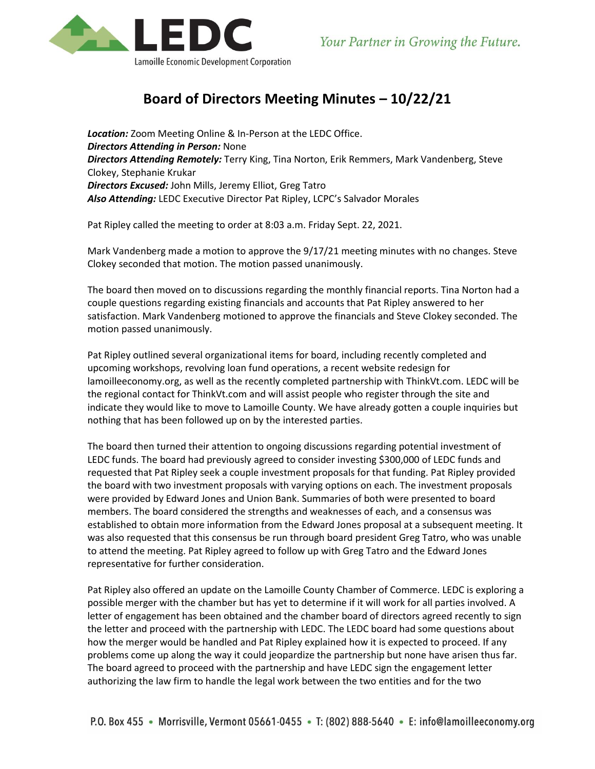

## **Board of Directors Meeting Minutes – 10/22/21**

*Location:* Zoom Meeting Online & In-Person at the LEDC Office. *Directors Attending in Person:* None *Directors Attending Remotely:* Terry King, Tina Norton, Erik Remmers, Mark Vandenberg, Steve Clokey, Stephanie Krukar *Directors Excused:* John Mills, Jeremy Elliot, Greg Tatro *Also Attending:* LEDC Executive Director Pat Ripley, LCPC's Salvador Morales

Pat Ripley called the meeting to order at 8:03 a.m. Friday Sept. 22, 2021.

Mark Vandenberg made a motion to approve the 9/17/21 meeting minutes with no changes. Steve Clokey seconded that motion. The motion passed unanimously.

The board then moved on to discussions regarding the monthly financial reports. Tina Norton had a couple questions regarding existing financials and accounts that Pat Ripley answered to her satisfaction. Mark Vandenberg motioned to approve the financials and Steve Clokey seconded. The motion passed unanimously.

Pat Ripley outlined several organizational items for board, including recently completed and upcoming workshops, revolving loan fund operations, a recent website redesign for lamoilleeconomy.org, as well as the recently completed partnership with ThinkVt.com. LEDC will be the regional contact for ThinkVt.com and will assist people who register through the site and indicate they would like to move to Lamoille County. We have already gotten a couple inquiries but nothing that has been followed up on by the interested parties.

The board then turned their attention to ongoing discussions regarding potential investment of LEDC funds. The board had previously agreed to consider investing \$300,000 of LEDC funds and requested that Pat Ripley seek a couple investment proposals for that funding. Pat Ripley provided the board with two investment proposals with varying options on each. The investment proposals were provided by Edward Jones and Union Bank. Summaries of both were presented to board members. The board considered the strengths and weaknesses of each, and a consensus was established to obtain more information from the Edward Jones proposal at a subsequent meeting. It was also requested that this consensus be run through board president Greg Tatro, who was unable to attend the meeting. Pat Ripley agreed to follow up with Greg Tatro and the Edward Jones representative for further consideration.

Pat Ripley also offered an update on the Lamoille County Chamber of Commerce. LEDC is exploring a possible merger with the chamber but has yet to determine if it will work for all parties involved. A letter of engagement has been obtained and the chamber board of directors agreed recently to sign the letter and proceed with the partnership with LEDC. The LEDC board had some questions about how the merger would be handled and Pat Ripley explained how it is expected to proceed. If any problems come up along the way it could jeopardize the partnership but none have arisen thus far. The board agreed to proceed with the partnership and have LEDC sign the engagement letter authorizing the law firm to handle the legal work between the two entities and for the two